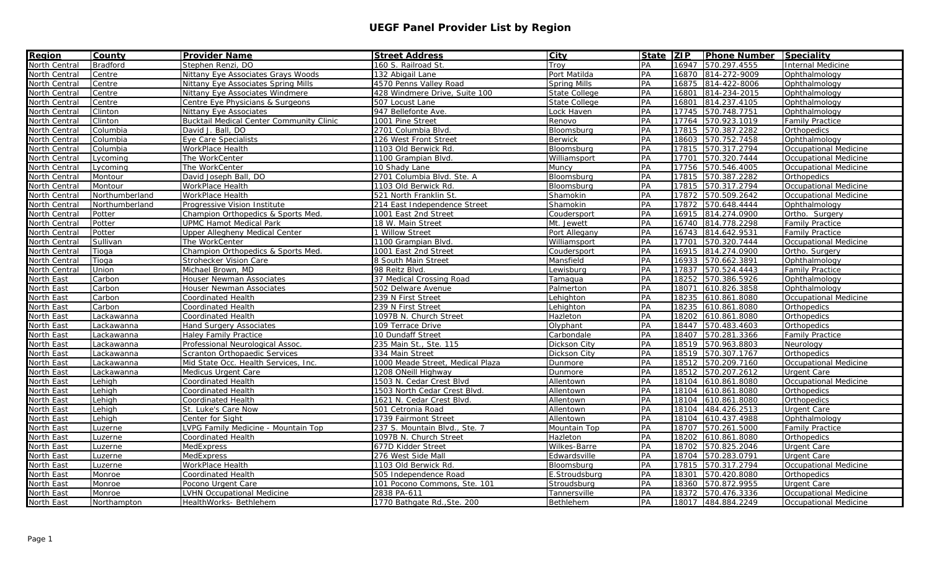| <b>Region</b>     | <b>County</b>   | <b>Provider Name</b>                     | <b>Street Address</b>            | City                 | State ZIP |       | <b>Phone Number Speciality</b> |                              |
|-------------------|-----------------|------------------------------------------|----------------------------------|----------------------|-----------|-------|--------------------------------|------------------------------|
| North Central     | <b>Bradford</b> | Stephen Renzi, DO                        | 160 S. Railroad St               | Trov                 | PA        | 16947 | 570.297.4555                   | Internal Medicine            |
| North Central     | Centre          | Nittany Eye Associates Grays Woods       | 132 Abigail Lane                 | Port Matilda         | PA        | 16870 | 814-272-9009                   | Ophthalmology                |
| North Central     | Centre          | Nittany Eye Associates Spring Mills      | 4570 Penns Valley Road           | Spring Mills         | PA        | 16875 | 814-422-8006                   | Ophthalmology                |
| North Central     | Centre          | Nittany Eye Associates Windmere          | 428 Windmere Drive, Suite 100    | <b>State College</b> | PA        | 16801 | 814-234-2015                   | Ophthalmology                |
| North Central     | Centre          | Centre Eye Physicians & Surgeons         | 507 Locust Lane                  | State College        | PA        | 16801 | 814.237.4105                   | Ophthalmology                |
| North Central     | Clinton         | Nittany Eye Associates                   | 947 Bellefonte Ave.              | Lock Haven           | PA        | 17745 | 570.748.7751                   | Ophthalmology                |
| North Central     | Clinton         | Bucktail Medical Center Community Clinic | 1001 Pine Street                 | Renovo               | PA        | 17764 | 570.923.1019                   | <b>Family Practice</b>       |
| North Central     | Columbia        | David J. Ball, DO                        | 2701 Columbia Blvd.              | Bloomsburg           | PA        | 17815 | 570.387.2282                   | Orthopedics                  |
| North Central     | Columbia        | Eye Care Specialists                     | 126 West Front Street            | <b>Berwick</b>       | PA        | 18603 | 570.752.7458                   | Ophthalmology                |
| North Central     | Columbia        | WorkPlace Health                         | 1103 Old Berwick Rd.             | Bloomsburg           | PA        |       | 17815 570.317.2794             | Occupational Medicine        |
| North Central     | Lycoming        | The WorkCenter                           | 1100 Grampian Blvd.              | Williamsport         | PA        | 17701 | 570.320.7444                   | <b>Occupational Medicine</b> |
| North Central     | Lycoming        | The WorkCenter                           | 10 Shady Lane                    | Muncy                | PA        | 17756 | 570.546.4005                   | Occupational Medicine        |
| North Central     | Montour         | David Joseph Ball, DO                    | 2701 Columbia Blvd. Ste. A       | Bloomsburg           | PA        | 17815 | 570.387.2282                   | Orthopedics                  |
| North Central     | Montour         | WorkPlace Health                         | 1103 Old Berwick Rd.             | Bloomsburg           | PA        | 17815 | 570.317.2794                   | <b>Occupational Medicine</b> |
| North Central     | Northumberland  | WorkPlace Health                         | 521 North Franklin St.           | Shamokin             | PA        | 17872 | 570.509.2642                   | Occupational Medicine        |
| North Central     | Northumberland  | Progressive Vision Institute             | 214 East Independence Street     | Shamokin             | PA        | 17872 | 570.648.4444                   | Ophthalmology                |
| North Central     | Potter          | Champion Orthopedics & Sports Med.       | 1001 East 2nd Street             | Coudersport          | PA        | 16915 | 814.274.0900                   | Ortho. Surgery               |
| North Central     | Potter          | <b>UPMC Hamot Medical Park</b>           | 18 W. Main Street                | Mt. Jewett           | PA        | 16740 | 814.778.2298                   | <b>Family Practice</b>       |
| North Central     | Potter          | <b>Upper Allegheny Medical Center</b>    | 1 Willow Street                  | Port Allegany        | PA        | 16743 | 814.642.9531                   | <b>Family Practice</b>       |
| North Central     | Sullivan        | The WorkCenter                           | 1100 Grampian Blvd.              | Williamsport         | PA        | 17701 | 570.320.7444                   | <b>Occupational Medicine</b> |
| North Central     | Tioga           | Champion Orthopedics & Sports Med        | 1001 East 2nd Street             | Coudersport          | PA        | 16915 | 814.274.0900                   | Ortho. Surgery               |
| North Central     | Tioga           | Strohecker Vision Care                   | 8 South Main Street              | Mansfield            | PA        | 16933 | 570.662.3891                   | Ophthalmology                |
| North Central     | Union           | Michael Brown, MD                        | 98 Reitz Blvd.                   | Lewisburg            | PA        | 17837 | 570.524.4443                   | <b>Family Practice</b>       |
| North East        | Carbon          | Houser Newman Associates                 | 37 Medical Crossing Road         | Tamaqua              | PA        | 18252 | 570.386.5926                   | Ophthalmology                |
| North East        | Carbon          | Houser Newman Associates                 | 502 Delware Avenue               | Palmerton            | PA        | 18071 | 610.826.3858                   | Ophthalmology                |
| <b>North East</b> | Carbon          | Coordinated Health                       | 239 N First Street               | _ehighton            | PA        | 18235 | 610.861.8080                   | Occupational Medicine        |
| North East        | Carbon          | Coordinated Health                       | 239 N First Street               | _ehighton            | PA        | 18235 | 610.861.8080                   | Orthopedics                  |
| <b>North East</b> | Lackawanna      | Coordinated Health                       | 1097B N. Church Street           | Hazleton             | PA        | 18202 | 610.861.8080                   | Orthopedics                  |
| North East        | Lackawanna      | Hand Surgery Associates                  | 109 Terrace Drive                | Olyphant             | PA        | 18447 | 570.483.4603                   | Orthopedics                  |
| North East        | Lackawanna      | <b>Haley Family Practice</b>             | 10 Dundaff Street                | Carbondale           | PA        | 18407 | 570.281.3366                   | <b>Family Practice</b>       |
| North East        | Lackawanna      | Professional Neurological Assoc.         | 235 Main St., Ste. 115           | Dickson City         | PA        | 18519 | 570.963.8803                   | Neurology                    |
| North East        | Lackawanna      | Scranton Orthopaedic Services            | 334 Main Street                  | Dickson City         | PA        | 18519 | 570.307.1767                   | Orthopedics                  |
| North East        | Lackawanna      | Mid State Occ. Health Services, Inc.     | 1000 Meade Street, Medical Plaza | Dunmore              | PA        | 18512 | 570.209.7160                   | <b>Occupational Medicine</b> |
| North East        | Lackawanna      | Medicus Urgent Care                      | 1208 ONeill Highway              | Dunmore              | PA        | 18512 | 570.207.2612                   | Urgent Care                  |
| North East        | Lehigh          | Coordinated Health                       | 1503 N. Cedar Crest Blvd         | Allentown            | PA        | 18104 | 610.861.8080                   | Occupational Medicine        |
| North East        | Lehigh          | Coordinated Health                       | 1503 North Cedar Crest Blvd.     | Allentown            | PA        | 18104 | 610.861.8080                   | Orthopedics                  |
| North East        | Lehigh          | Coordinated Health                       | 1621 N. Cedar Crest Blvd.        | Allentown            | PA        | 18104 | 610.861.8080                   | Orthopedics                  |
| North East        | Lehigh          | St. Luke's Care Now                      | 501 Cetronia Road                | Allentown            | PA        | 18104 | 484.426.2513                   | <b>Urgent Care</b>           |
| North East        | Lehigh          | Center for Sight                         | 1739 Fairmont Street             | Allentown            | PA        | 18104 | 610.437.4988                   | Ophthalmology                |
| North East        | Luzerne         | VPG Family Medicine - Mountain Top       | 237 S. Mountain Blvd., Ste. 7    | Mountain Top         | PA        | 18707 | 570.261.5000                   | <b>Family Practice</b>       |
| North East        | Luzerne         | Coordinated Health                       | 1097B N. Church Street           | Hazleton             | PA        | 18202 | 610.861.8080                   | Orthopedics                  |
| North East        | Luzerne         | MedExpress                               | 677D Kidder Street               | Wilkes-Barre         | PA        | 18702 | 570.825.2046                   | Urgent Care                  |
| North East        | Luzerne         | MedExpress                               | 276 West Side Mall               | Edwardsville         | PA        | 18704 | 570.283.0791                   | Urgent Care                  |
| North East        | Luzerne         | WorkPlace Health                         | 1103 Old Berwick Rd.             | Bloomsburg           | PA        | 17815 | 570.317.2794                   | <b>Occupational Medicine</b> |
| North East        | Monroe          | Coordinated Health                       | 505 Independence Road            | E.Stroudsburg        | PA        | 18301 | 570.420.8080                   | Orthopedics                  |
| North East        | Monroe          | Pocono Urgent Care                       | 101 Pocono Commons, Ste. 101     | Stroudsburg          | PA        | 18360 | 570.872.9955                   | Urgent Care                  |
| North East        | Monroe          | VHN Occupational Medicine                | 2838 PA-611                      | Tannersville         | PA        | 18372 | 570.476.3336                   | Occupational Medicine        |
| North East        | Northampton     | HealthWorks- Bethlehem                   | 1770 Bathgate Rd., Ste. 200      | Bethlehem            | PA        |       | 18017 484.884.2249             | <b>Occupational Medicine</b> |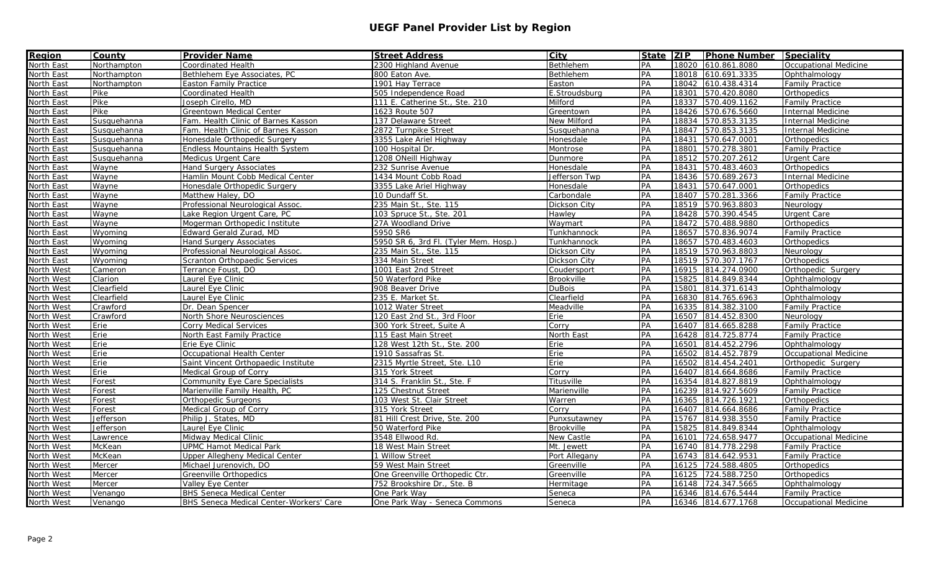| <b>Region</b> | <b>County</b> | <b>Provider Name</b>                    | <b>Street Address</b>                 | City              | <b>State ZIP</b> |       | <b>Phone Number Speciality</b> |                              |
|---------------|---------------|-----------------------------------------|---------------------------------------|-------------------|------------------|-------|--------------------------------|------------------------------|
| North East    | Northampton   | Coordinated Health                      | 2300 Highland Avenue                  | Bethlehem         | PA               | 18020 | 610.861.8080                   | <b>Occupational Medicine</b> |
| North East    | Northampton   | Bethlehem Eye Associates, PC            | 800 Eaton Ave.                        | Bethlehem         | PA               | 18018 | 610.691.3335                   | Ophthalmology                |
| North East    | Northampton   | <b>Easton Family Practice</b>           | 1901 Hay Terrace                      | Easton            | PA               | 18042 | 610.438.4314                   | <b>Family Practice</b>       |
| North East    | Pike          | Coordinated Health                      | 505 Independence Road                 | E.Stroudsburg     | PA               | 18301 | 570.420.8080                   | Orthopedics                  |
| North East    | Pike          | Joseph Cirello, MD                      | 111 E. Catherine St., Ste. 210        | Milford           | PA               | 18337 | 570.409.1162                   | <b>Family Practice</b>       |
| North East    | Pike          | Greentown Medical Center                | 1623 Route 507                        | Greentown         | PA               | 18426 | 570.676.5660                   | <b>Internal Medicine</b>     |
| North East    | Susquehanna   | Fam. Health Clinic of Barnes Kasson     | 137 Delaware Street                   | New Milford       | PA               | 18834 | 570.853.3135                   | <b>Internal Medicine</b>     |
| North East    | Susquehanna   | Fam. Health Clinic of Barnes Kasson     | 2872 Turnpike Street                  | Susquehanna       | PA               | 18847 | 570.853.3135                   | Internal Medicine            |
| North East    | Susquehanna   | Honesdale Orthopedic Surgery            | 3355 Lake Ariel Highway               | Honesdale         | PA               | 18431 | 570.647.0001                   | Orthopedics                  |
| North East    | Susquehanna   | <b>Endless Mountains Health System</b>  | 100 Hospital Dr.                      | Montrose          | PA               | 18801 | 570.278.3801                   | <b>Family Practice</b>       |
| North East    | Susquehanna   | Medicus Urgent Care                     | 1208 ONeill Highway                   | Dunmore           | PA               | 18512 | 570.207.2612                   | Urgent Care                  |
| North East    | Wayne         | Hand Surgery Associates                 | 232 Sunrise Avenue                    | Honesdale         | PA               | 18431 | 570.483.4603                   | Orthopedics                  |
| North East    | Wayne         | Hamlin Mount Cobb Medical Center        | 1434 Mount Cobb Road                  | Jefferson Twp     | PA               | 18436 | 570.689.2673                   | <b>Internal Medicine</b>     |
| North East    | Wayne         | Honesdale Orthopedic Surgery            | 3355 Lake Ariel Highway               | Honesdale         | PA               | 18431 | 570.647.0001                   | Orthopedics                  |
| North East    | Wayne         | Matthew Haley, DO                       | 10 Dundaff St.                        | Carbondale        | PA               | 18407 | 570.281.3366                   | <b>Family Practice</b>       |
| North East    | Wayne         | Professional Neurological Assoc.        | 235 Main St., Ste. 115                | Dickson City      | PA               | 18519 | 570.963.8803                   | Neurology                    |
| North East    | Wayne         | Lake Region Urgent Care, PC             | 103 Spruce St., Ste. 201              | Hawley            | PA               | 18428 | 570.390.4545                   | <b>Urgent Care</b>           |
| North East    | Wayne         | Mogerman Orthopedic Institute           | 27A Woodland Drive                    | Waymart           | PA               | 18472 | 570.488.9880                   | Orthopedics                  |
| North East    | Wyoming       | Edward Gerald Zurad, MD                 | 5950 SR6                              | Tunkhannock       | PA               | 18657 | 570.836.9074                   | <b>Family Practice</b>       |
| North East    | Wyoming       | <b>Hand Surgery Associates</b>          | 5950 SR 6, 3rd Fl. (Tyler Mem. Hosp.) | Tunkhannock       | PA               | 18657 | 570.483.4603                   | Orthopedics                  |
| North East    | Wyoming       | Professional Neurological Assoc.        | 235 Main St., Ste. 115                | Dickson City      | PA               | 18519 | 570.963.8803                   | Neurology                    |
| North East    | Wyoming       | Scranton Orthopaedic Services           | 334 Main Street                       | Dickson City      | PA               | 18519 | 570.307.1767                   | Orthopedics                  |
| North West    | Cameron       | Terrance Foust, DO                      | 1001 East 2nd Street                  | Coudersport       | PA               | 16915 | 814.274.0900                   | Orthopedic Surgery           |
| North West    | Clarion       | Laurel Eye Clinic                       | 50 Waterford Pike                     | Brookville        | PA               | 15825 | 814.849.8344                   | Ophthalmology                |
| North West    | Clearfield    | Laurel Eye Clinic                       | 908 Beaver Drive                      | <b>DuBois</b>     | PA               | 15801 | 814.371.6143                   | Ophthalmology                |
| North West    | Clearfield    | Laurel Eye Clinic                       | 235 E. Market St.                     | Clearfield        | PA               | 16830 | 814.765.6963                   | Ophthalmology                |
| North West    | Crawford      | Dr. Dean Spencer                        | 1012 Water Street                     | Meadville         | PA               | 16335 | 814.382.3100                   | <b>Family Practice</b>       |
| North West    | Crawford      | North Shore Neurosciences               | 120 East 2nd St., 3rd Floor           | Erie              | PA               | 16507 | 814.452.8300                   | Neurology                    |
| North West    | Erie          | Corry Medical Services                  | 300 York Street, Suite A              | Corry             | PA               | 16407 | 814.665.8288                   | <b>Family Practice</b>       |
| North West    | Erie          | North East Family Practice              | 115 East Main Street                  | North East        | PA               | 16428 | 814.725.8774                   | <b>Family Practice</b>       |
| North West    | Erie          | Erie Eye Clinic                         | 128 West 12th St., Ste. 200           | Erie              | PA               | 16501 | 814.452.2796                   | Ophthalmology                |
| North West    | Erie          | Occupational Health Center              | 1910 Sassafras St.                    | Erie              | PA               | 16502 | 814.452.7879                   | <b>Occupational Medicine</b> |
| North West    | Erie          | Saint Vincent Orthopaedic Institute     | 2315 Myrtle Street, Ste. L10          | Erie              | PA               | 16502 | 814.454.2401                   | Orthopedic Surgery           |
| North West    | Erie          | Medical Group of Corry                  | 315 York Street                       | Corry             | PA               | 16407 | 814.664.8686                   | <b>Family Practice</b>       |
| North West    | Forest        | Community Eye Care Specialists          | 314 S. Franklin St., Ste. F           | Titusville        | PA               | 16354 | 814.827.8819                   | Ophthalmology                |
| North West    | Forest        | Marienville Family Health, PC           | 125 Chestnut Street                   | Marienville       | PA               | 16239 | 814.927.5609                   | <b>Family Practice</b>       |
| North West    | Forest        | Orthopedic Surgeons                     | 103 West St. Clair Street             | Warren            | PA               | 16365 | 814.726.1921                   | Orthopedics                  |
| North West    | Forest        | Medical Group of Corry                  | 315 York Street                       | Corry             | PA               | 16407 | 814.664.8686                   | <b>Family Practice</b>       |
| North West    | Jefferson     | Philip J. States, MD                    | 81 Hill Crest Drive, Ste. 200         | Punxsutawney      | PA               | 15767 | 814.938.3550                   | <b>Family Practice</b>       |
| North West    | Jefferson     | Laurel Eye Clinic                       | 50 Waterford Pike                     | Brookville        | PA               | 15825 | 814.849.8344                   | Ophthalmology                |
| North West    | Lawrence      | Midway Medical Clinic                   | 3548 Ellwood Rd.                      | <b>New Castle</b> | PA               | 16101 | 724.658.9477                   | <b>Occupational Medicine</b> |
| North West    | <b>McKean</b> | <b>UPMC Hamot Medical Park</b>          | 18 West Main Street                   | Mt. Jewett        | PA               | 16740 | 814.778.2298                   | <b>Family Practice</b>       |
| North West    | McKean        | Upper Allegheny Medical Center          | 1 Willow Street                       | Port Allegany     | PA               | 16743 | 814.642.9531                   | <b>Family Practice</b>       |
| North West    | Mercer        | Michael Jurenovich, DO                  | 59 West Main Street                   | Greenville        | PA               | 16125 | 724.588.4805                   | Orthopedics                  |
| North West    | Mercer        | Greenville Orthopedics                  | One Greenville Orthopedic Ctr.        | Greenville        | PA               | 16125 | 724.588.7250                   | Orthopedics                  |
| North West    | Mercer        | Valley Eye Center                       | 752 Brookshire Dr., Ste. B            | Hermitage         | PA               | 16148 | 724.347.5665                   | Ophthalmology                |
| North West    | Venango       | <b>BHS Seneca Medical Center</b>        | One Park Way                          | Seneca            | PA               | 16346 | 814.676.5444                   | <b>Family Practice</b>       |
| North West    | Venango       | BHS Seneca Medical Center-Workers' Care | One Park Way - Seneca Commons         | Seneca            | PA               |       | 16346 814.677.1768             | Occupational Medicine        |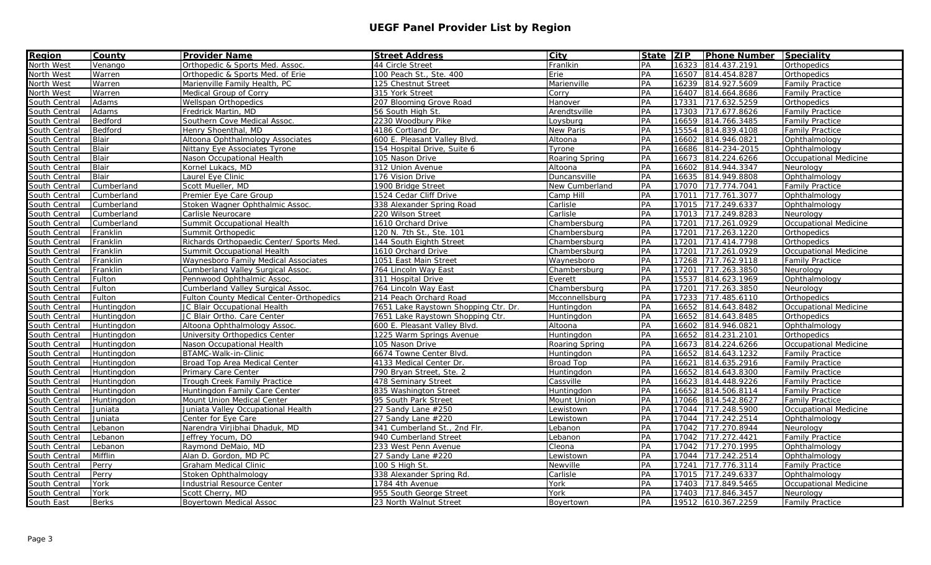| <b>Region</b><br>North West | <b>County</b> | <b>Provider Name</b>                            | <b>Street Address</b>                | City             | State   ZIP |       | <b>Phone Number Speciality</b> |                              |
|-----------------------------|---------------|-------------------------------------------------|--------------------------------------|------------------|-------------|-------|--------------------------------|------------------------------|
|                             | Venango       | Orthopedic & Sports Med. Assoc.                 | 44 Circle Street                     | Frankin          | PA          | 16323 | 814.437.2191                   | Orthopedics                  |
| North West                  | Warren        | Orthopedic & Sports Med. of Erie                | 100 Peach St., Ste. 400              | Erie             | PA          | 16507 | 814.454.8287                   | Orthopedics                  |
| North West                  | Warren        | Marienville Family Health, PC                   | 125 Chestnut Street                  | Marienville      | PA          | 16239 | 814.927.5609                   | <b>Family Practice</b>       |
| North West                  | Warren        | Medical Group of Corry                          | 315 York Street                      | Corry            | PA          | 16407 | 814.664.8686                   | <b>Family Practice</b>       |
| South Central               | Adams         | Wellspan Orthopedics                            | 207 Blooming Grove Road              | Hanover          | PA          | 17331 | 717.632.5259                   | Orthopedics                  |
| South Central               | Adams         | Fredrick Martin, MD                             | 56 South High St.                    | Arendtsville     | PA          | 17303 | 717.677.8626                   | <b>Family Practice</b>       |
| South Central               | Bedford       | Southern Cove Medical Assoc.                    | 2230 Woodbury Pike                   | Loysburg         | PA          | 16659 | 814.766.3485                   | <b>Family Practice</b>       |
| South Central               | Bedford       | Henry Shoenthal, MD                             | 4186 Cortland Dr.                    | <b>New Paris</b> | PA          | 15554 | 814.839.4108                   | <b>Family Practice</b>       |
| South Central               | <b>Blair</b>  | Altoona Ophthalmology Associates                | 600 E. Pleasant Valley Blvd.         | Altoona          | PA          | 16602 | 814.946.0821                   | Ophthalmology                |
| South Central               | <b>Blair</b>  | Nittany Eye Associates Tyrone                   | 154 Hospital Drive, Suite 6          | Tyrone           | PA          | 16686 | 814-234-2015                   | Ophthalmology                |
| South Central               | <b>Blair</b>  | Nason Occupational Health                       | 105 Nason Drive                      | Roaring Spring   | PA          | 16673 | 814.224.6266                   | Occupational Medicine        |
| South Central               | <b>Blair</b>  | Kornel Lukacs, MD                               | 312 Union Avenue                     | Altoona          | PA          | 16602 | 814.944.3347                   | Neurology                    |
| South Central               | <b>Blair</b>  | Laurel Eye Clinic                               | 176 Vision Drive                     | Duncansville     | PA          | 16635 | 814.949.8808                   | Ophthalmology                |
| South Central               | Cumberland    | Scott Mueller, MD                               | 1900 Bridge Street                   | New Cumberland   | PA          | 17070 | 717.774.7041                   | <b>Family Practice</b>       |
| South Central               | Cumberland    | Premier Eye Care Group                          | 1524 Cedar Cliff Drive               | Camp Hill        | PA          | 17011 | 717.761.3077                   | Ophthalmology                |
| South Central               | Cumberland    | Stoken Wagner Ophthalmic Assoc.                 | 338 Alexander Spring Road            | Carlisle         | PA          | 17015 | 717.249.6337                   | Ophthalmology                |
| South Central               | Cumberland    | Carlisle Neurocare                              | 220 Wilson Street                    | Carlisle         | PA          | 17013 | 717.249.8283                   | Neurology                    |
| South Central               | Cumberland    | Summit Occupational Health                      | 1610 Orchard Drive                   | Chambersburg     | PA          | 17201 | 717.261.0929                   | <b>Occupational Medicine</b> |
| South Central               | Franklin      | Summit Orthopedic                               | 120 N. 7th St., Ste. 101             | Chambersburg     | PA          | 17201 | 717.263.1220                   | Orthopedics                  |
| South Central               | Franklin      | Richards Orthopaedic Center/ Sports Med.        | 144 South Eighth Street              | Chambersburg     | PA          | 17201 | 717.414.7798                   | Orthopedics                  |
| South Central               | Franklin      | Summit Occupational Health                      | 1610 Orchard Drive                   | Chambersburg     | PA          | 17201 | 717.261.0929                   | <b>Occupational Medicine</b> |
| South Central               | Franklin      | Waynesboro Family Medical Associates            | 1051 East Main Street                | Waynesboro       | PA          | 17268 | 717.762.9118                   | <b>Family Practice</b>       |
| South Central               | Franklin      | Cumberland Valley Surgical Assoc.               | 764 Lincoln Way East                 | Chambersburg     | PA          | 17201 | 717.263.3850                   | Neurology                    |
| South Central               | Fulton        | Pennwood Ophthalmic Assoc.                      | 311 Hospital Drive                   | Everett          | PA          | 15537 | 814.623.1969                   | Ophthalmology                |
| South Central               | Fulton        | Cumberland Valley Surgical Assoc.               | 764 Lincoln Way East                 | Chambersburg     | PA          | 17201 | 717.263.3850                   | Neurology                    |
| South Central               | Fulton        | <b>Fulton County Medical Center-Orthopedics</b> | 214 Peach Orchard Road               | Mcconnellsburg   | PA          | 17233 | 717.485.6110                   | Orthopedics                  |
| South Central               | Huntingdon    | JC Blair Occupational Health                    | 7651 Lake Raystown Shopping Ctr. Dr. | Huntingdon       | PA          | 16652 | 814.643.8482                   | <b>Occupational Medicine</b> |
| South Central               | Huntingdon    | JC Blair Ortho. Care Center                     | 7651 Lake Raystown Shopping Ctr.     | Huntingdon       | PA          | 16652 | 814.643.8485                   | Orthopedics                  |
| South Central               | Huntingdon    | Altoona Ophthalmology Assoc.                    | 600 E. Pleasant Valley Blvd.         | Altoona          | PA          | 16602 | 814.946.0821                   | Ophthalmology                |
| South Central               | Huntingdon    | University Orthopedics Center                   | 1225 Warm Springs Avenue             | Huntingdon       | PA          | 16652 | 814.231.2101                   | Orthopedics                  |
| South Central               | Huntingdon    | Nason Occupational Health                       | 105 Nason Drive                      | Roaring Spring   | PA          | 16673 | 814.224.6266                   | <b>Occupational Medicine</b> |
| South Central               | Huntingdon    | BTAMC-Walk-in-Clinic                            | 6674 Towne Center Blvd.              | Huntingdon       | PA          | 16652 | 814.643.1232                   | <b>Family Practice</b>       |
| South Central               | Huntingdon    | Broad Top Area Medical Center                   | 4133 Medical Center Dr.              | Broad Top        | PA          | 16621 | 814.635.2916                   | <b>Family Practice</b>       |
| South Central               | Huntingdon    | Primary Care Center                             | 790 Bryan Street, Ste. 2             | Huntingdon       | PA          | 16652 | 814.643.8300                   | <b>Family Practice</b>       |
| South Central               | Huntingdon    | Trough Creek Family Practice                    | 478 Seminary Street                  | Cassville        | PA          | 16623 | 814.448.9226                   | <b>Family Practice</b>       |
| South Central               | Huntingdon    | Huntingdon Family Care Center                   | 835 Washington Street                | Huntingdon       | PA          | 16652 | 814.506.8114                   | <b>Family Practice</b>       |
| South Central               | Huntingdon    | Mount Union Medical Center                      | 95 South Park Street                 | Mount Union      | PA          | 17066 | 814.542.8627                   | <b>Family Practice</b>       |
| South Central               | Juniata       | Juniata Valley Occupational Health              | 27 Sandy Lane #250                   | Lewistown        | PA          | 17044 | 717.248.5900                   | Occupational Medicine        |
| South Central               | Juniata       | Center for Eye Care                             | 27 Sandy Lane #220                   | Lewistown        | PA          | 17044 | 717.242.2514                   | Ophthalmology                |
| South Central               | Lebanon       | Narendra Virjibhai Dhaduk, MD                   | 341 Cumberland St., 2nd Flr.         | Lebanon          | PA          | 17042 | 717.270.8944                   | Neurology                    |
| South Central               | Lebanon       | Jeffrey Yocum, DO                               | 940 Cumberland Street                | Lebanon          | PA          | 17042 | 717.272.4421                   | <b>Family Practice</b>       |
| South Central               | Lebanon       | Raymond DeMaio, MD                              | 233 West Penn Avenue                 | Cleona           | PA          | 17042 | 717.270.1995                   | Ophthalmology                |
| South Central               | Mifflin       | Alan D. Gordon, MD PC                           | 27 Sandy Lane #220                   | Lewistown        | PA          | 17044 | 717.242.2514                   | Ophthalmology                |
| South Central               | Perry         | Graham Medical Clinic                           | 100 S High St.                       | Newville         | PA          | 17241 | 717.776.3114                   | <b>Family Practice</b>       |
| South Central               | Perry         | Stoken Ophthalmology                            | 338 Alexander Spring Rd.             | Carlisle         | PA          | 17015 | 717.249.6337                   | Ophthalmology                |
| South Central               | York          | Industrial Resource Center                      | 1784 4th Avenue                      | York             | PA          | 17403 | 717.849.5465                   | <b>Occupational Medicine</b> |
| South Central               | York          | Scott Cherry, MD                                | 955 South George Street              | York             | PA          | 17403 | 717.846.3457                   | Neurology                    |
| South East                  | <b>Berks</b>  | <b>Boyertown Medical Assoc</b>                  | 23 North Walnut Street               | Boyertown        | PA          |       | 19512 610.367.2259             | <b>Family Practice</b>       |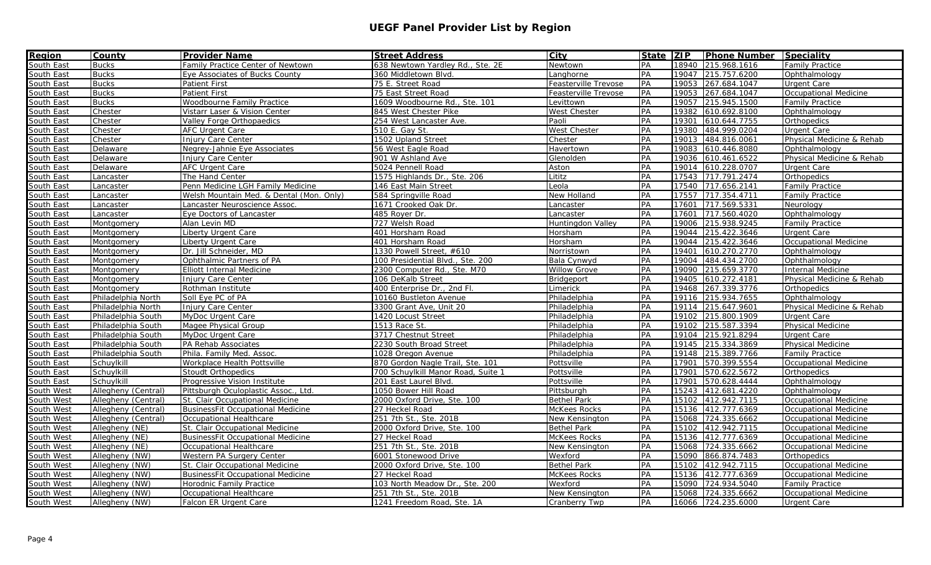| <b>Region</b> | <b>County</b>       | <b>Provider Name</b>                     | <b>Street Address</b>              | City                 | State   ZIP |       | <b>Phone Number Speciality</b> |                              |
|---------------|---------------------|------------------------------------------|------------------------------------|----------------------|-------------|-------|--------------------------------|------------------------------|
| South East    | <b>Bucks</b>        | <b>Family Practice Center of Newtown</b> | 638 Newtown Yardley Rd., Ste. 2E   | <b>Newtown</b>       | PA          | 18940 | 215.968.1616                   | <b>Family Practice</b>       |
| South East    | <b>Bucks</b>        | Eye Associates of Bucks County           | 360 Middletown Blvd.               | Langhorne            | PA          | 19047 | 215.757.6200                   | Ophthalmology                |
| South East    | <b>Bucks</b>        | <b>Patient First</b>                     | 75 E. Street Road                  | Feasterville Trevose | PA          | 19053 | 267.684.1047                   | Urgent Care                  |
| South East    | <b>Bucks</b>        | <b>Patient First</b>                     | 75 East Street Road                | Feasterville Trevose | PA          | 19053 | 267.684.1047                   | Occupational Medicine        |
| South East    | <b>Bucks</b>        | Woodbourne Family Practice               | 1609 Woodbourne Rd., Ste. 101      | Levittown            | PA          | 19057 | 215.945.1500                   | <b>Family Practice</b>       |
| South East    | Chester             | Vistarr Laser & Vision Center            | 845 West Chester Pike              | <b>West Chester</b>  | PA          | 19382 | 610.692.8100                   | Ophthalmology                |
| South East    | Chester             | Valley Forge Orthopaedics                | 254 West Lancaster Ave.            | Paoli                | PA          | 19301 | 610.644.7755                   | Orthopedics                  |
| South East    | Chester             | AFC Urgent Care                          | 510 E. Gay St.                     | <b>West Chester</b>  | PA          | 19380 | 484.999.0204                   | <b>Urgent Care</b>           |
| South East    | Chester             | Injury Care Center                       | 1502 Upland Street                 | Chester              | PA          | 19013 | 484.816.0061                   | Physical Medicine & Rehab    |
| South East    | Delaware            | Negrey-Jahnie Eye Associates             | 56 West Eagle Road                 | Havertown            | PA          | 19083 | 610.446.8080                   | Ophthalmology                |
| South East    | Delaware            | Injury Care Center                       | 901 W Ashland Ave                  | Glenolden            | PA          | 19036 | 610.461.6522                   | Physical Medicine & Rehab    |
| South East    | Delaware            | AFC Urgent Care                          | 5024 Pennell Road                  | Aston                | PA          | 19014 | 610.228.0707                   | <b>Urgent Care</b>           |
| South East    | Lancaster           | The Hand Center                          | 1575 Highlands Dr., Ste. 206       | Lititz               | PA          | 17543 | 717.791.2474                   | Orthopedics                  |
| South East    | Lancaster           | Penn Medicine LGH Family Medicine        | 146 East Main Street               | Leola                | PA          | 17540 | 717.656.2141                   | <b>Family Practice</b>       |
| South East    | Lancaster           | Welsh Mountain Med. & Dental (Mon. Only) | 584 Springville Road               | New Holland          | PA          | 17557 | 717.354.4711                   | <b>Family Practice</b>       |
| South East    | Lancaster           | Lancaster Neuroscience Assoc.            | 1671 Crooked Oak Dr.               | Lancaster            | PA          | 17601 | 717.569.5331                   | Neurology                    |
| South East    | Lancaster           | Eye Doctors of Lancaster                 | 485 Royer Dr.                      | Lancaster            | PA          | 17601 | 717.560.4020                   | Ophthalmology                |
| South East    | Montgomery          | Alan Levin MD                            | 727 Welsh Road                     | Huntingdon Valley    | PA          | 19006 | 215.938.9245                   | <b>Family Practice</b>       |
| South East    | Montgomery          | Liberty Urgent Care                      | 401 Horsham Road                   | Horsham              | PA          | 19044 | 215.422.3646                   | Urgent Care                  |
| South East    | Montgomery          | Liberty Urgent Care                      | 401 Horsham Road                   | Horsham              | PA          | 19044 | 215.422.3646                   | Occupational Medicine        |
| South East    | Montgomery          | Dr. Jill Schneider, MD                   | 1330 Powell Street, #610           | Norristown           | PA          | 19401 | 610.270.2770                   | Ophthalmology                |
| South East    | Montgomery          | Ophthalmic Partners of PA                | 100 Presidential Blvd., Ste. 200   | Bala Cynwyd          | PA          | 19004 | 484.434.2700                   | Ophthalmology                |
| South East    | Montgomery          | <b>Elliott Internal Medicine</b>         | 2300 Computer Rd., Ste. M70        | <b>Willow Grove</b>  | PA          | 19090 | 215.659.3770                   | Internal Medicine            |
| South East    | Montgomery          | <b>Injury Care Center</b>                | 106 DeKalb Street                  | Bridgeport           | PA          | 19405 | 610.272.4181                   | Physical Medicine & Rehab    |
| South East    | Montgomery          | Rothman Institute                        | 400 Enterprise Dr., 2nd Fl.        | Limerick             | PA          | 19468 | 267.339.3776                   | Orthopedics                  |
| South East    | Philadelphia North  | Soll Eye PC of PA                        | 10160 Bustleton Avenue             | Philadelphia         | PA          | 19116 | 215.934.7655                   | Ophthalmology                |
| South East    | Philadelphia North  | Injury Care Center                       | 3300 Grant Ave, Unit 20            | Philadelphia         | PA          | 19114 | 215.647.9601                   | Physical Medicine & Rehab    |
| South East    | Philadelphia South  | MyDoc Urgent Care                        | 1420 Locust Street                 | Philadelphia         | PA          | 19102 | 215.800.1909                   | <b>Urgent Care</b>           |
| South East    | Philadelphia South  | Magee Physical Group                     | 1513 Race St.                      | Philadelphia         | PA          | 19102 | 215.587.3394                   | Physical Medicine            |
| South East    | Philadelphia South  | MyDoc Urgent Care                        | 3717 Chestnut Street               | Philadelphia         | PA          | 19104 | 215.921.8294                   | Urgent Care                  |
| South East    | Philadelphia South  | PA Rehab Associates                      | 2230 South Broad Street            | Philadelphia         | PA          | 19145 | 215.334.3869                   | <b>Physical Medicine</b>     |
| South East    | Philadelphia South  | Phila. Family Med. Assoc.                | 1028 Oregon Avenue                 | Philadelphia         | PA          | 19148 | 215.389.7766                   | <b>Family Practice</b>       |
| South East    | Schuylkill          | Workplace Health Pottsville              | 870 Gordon Nagle Trail, Ste. 101   | Pottsville           | PA          | 17901 | 570.399.5554                   | <b>Occupational Medicine</b> |
| South East    | Schuvlkill          | <b>Stoudt Orthopedics</b>                | 700 Schuvlkill Manor Road, Suite 1 | Pottsville           | PA          | 17901 | 570.622.5672                   | Orthopedics                  |
| South East    | Schuylkill          | Progressive Vision Institute             | 201 East Laurel Blvd.              | Pottsville           | PA          | 17901 | 570.628.4444                   | Ophthalmology                |
| South West    | Allegheny (Central) | Pittsburgh Oculoplastic Assoc., Ltd.     | 1050 Bower Hill Road               | Pittsburgh           | PA          | 15243 | 412.681.4220                   | Ophthalmology                |
| South West    | Allegheny (Central) | St. Clair Occupational Medicine          | 2000 Oxford Drive, Ste. 100        | <b>Bethel Park</b>   | PA          | 15102 | 412.942.7115                   | <b>Occupational Medicine</b> |
| South West    | Allegheny (Central) | <b>BusinessFit Occupational Medicine</b> | 27 Heckel Road                     | <b>McKees Rocks</b>  | PA          | 15136 | 412.777.6369                   | Occupational Medicine        |
| South West    | Allegheny (Central) | Occupational Healthcare                  | 251 7th St., Ste. 201B             | New Kensington       | PA          | 15068 | 724.335.6662                   | Occupational Medicine        |
| South West    | Allegheny (NE)      | St. Clair Occupational Medicine          | 2000 Oxford Drive, Ste. 100        | <b>Bethel Park</b>   | PA          | 15102 | 412.942.7115                   | <b>Occupational Medicine</b> |
| South West    | Allegheny (NE)      | <b>BusinessFit Occupational Medicine</b> | 27 Heckel Road                     | <b>McKees Rocks</b>  | PA          | 15136 | 412.777.6369                   | Occupational Medicine        |
| South West    | Allegheny (NE)      | Occupational Healthcare                  | 251 7th St., Ste. 201B             | New Kensington       | PA          | 15068 | 724.335.6662                   | Occupational Medicine        |
| South West    | Allegheny (NW)      | Western PA Surgery Center                | 6001 Stonewood Drive               | Wexford              | PA          | 15090 | 866.874.7483                   | Orthopedics                  |
| South West    | Allegheny (NW)      | St. Clair Occupational Medicine          | 2000 Oxford Drive, Ste. 100        | <b>Bethel Park</b>   | PA          | 15102 | 412.942.7115                   | <b>Occupational Medicine</b> |
| South West    | Allegheny (NW)      | <b>BusinessFit Occupational Medicine</b> | 27 Heckel Road                     | <b>McKees Rocks</b>  | PA          | 15136 | 412.777.6369                   | Occupational Medicine        |
| South West    | Allegheny (NW)      | Horodnic Family Practice                 | 103 North Meadow Dr., Ste. 200     | Wexford              | PA          | 15090 | 724.934.5040                   | <b>Family Practice</b>       |
| South West    | Allegheny (NW)      | Occupational Healthcare                  | 251 7th St., Ste. 201B             | New Kensington       | PA          | 15068 | 724.335.6662                   | <b>Occupational Medicine</b> |
| South West    | Allegheny (NW)      | Falcon ER Urgent Care                    | 1241 Freedom Road, Ste. 1A         | Cranberry Twp        | PA          |       | 16066 724.235.6000             | <b>Urgent Care</b>           |